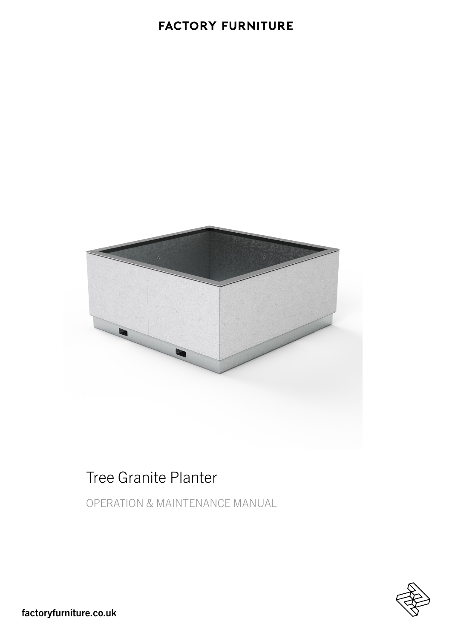### **FACTORY FURNITURE**



# Tree Granite Planter

OPERATION & MAINTENANCE MANUAL

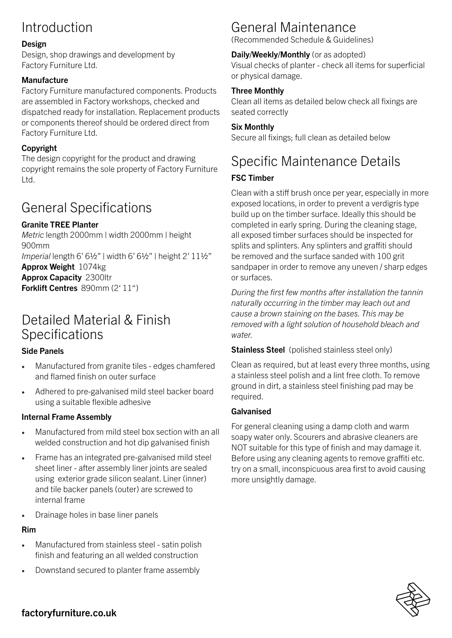# Introduction

#### Design

Design, shop drawings and development by Factory Furniture Ltd.

#### **Manufacture**

Factory Furniture manufactured components. Products are assembled in Factory workshops, checked and dispatched ready for installation. Replacement products or components thereof should be ordered direct from Factory Furniture Ltd.

#### Copyright

The design copyright for the product and drawing copyright remains the sole property of Factory Furniture Ltd.

## General Specifications

#### Granite TREE Planter

*Metric* length 2000mm | width 2000mm | height 900mm *Imperial* length 6' 6½" | width 6' 6½" | height 2' 11½" Approx Weight 1074kg Approx Capacity 2300ltr Forklift Centres 890mm (2' 11")

### Detailed Material & Finish Specifications

#### Side Panels

- Manufactured from granite tiles edges chamfered and flamed finish on outer surface
- Adhered to pre-galvanised mild steel backer board using a suitable flexible adhesive

#### Internal Frame Assembly

- Manufactured from mild steel box section with an all welded construction and hot dip galvanised finish
- Frame has an integrated pre-galvanised mild steel sheet liner - after assembly liner joints are sealed using exterior grade silicon sealant. Liner (inner) and tile backer panels (outer) are screwed to internal frame
- Drainage holes in base liner panels

#### Rim

- Manufactured from stainless steel satin polish finish and featuring an all welded construction
- Downstand secured to planter frame assembly

## General Maintenance

(Recommended Schedule & Guidelines)

#### Daily/Weekly/Monthly (or as adopted)

Visual checks of planter - check all items for superficial or physical damage.

#### Three Monthly

Clean all items as detailed below check all fixings are seated correctly

#### Six Monthly

Secure all fixings; full clean as detailed below

## Specific Maintenance Details

#### FSC Timber

Clean with a stiff brush once per year, especially in more exposed locations, in order to prevent a verdigris type build up on the timber surface. Ideally this should be completed in early spring. During the cleaning stage, all exposed timber surfaces should be inspected for splits and splinters. Any splinters and graffiti should be removed and the surface sanded with 100 grit sandpaper in order to remove any uneven / sharp edges or surfaces.

*During the first few months after installation the tannin naturally occurring in the timber may leach out and cause a brown staining on the bases. This may be removed with a light solution of household bleach and water.*

#### Stainless Steel (polished stainless steel only)

Clean as required, but at least every three months, using a stainless steel polish and a lint free cloth. To remove ground in dirt, a stainless steel finishing pad may be required.

#### Galvanised

For general cleaning using a damp cloth and warm soapy water only. Scourers and abrasive cleaners are NOT suitable for this type of finish and may damage it. Before using any cleaning agents to remove graffiti etc. try on a small, inconspicuous area first to avoid causing more unsightly damage.